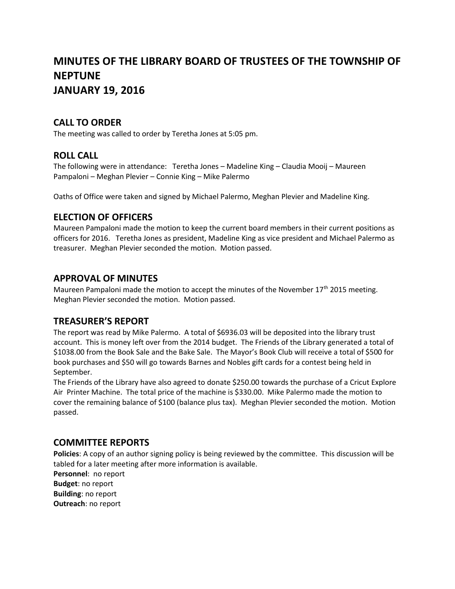# **MINUTES OF THE LIBRARY BOARD OF TRUSTEES OF THE TOWNSHIP OF NEPTUNE JANUARY 19, 2016**

## **CALL TO ORDER**

The meeting was called to order by Teretha Jones at 5:05 pm.

## **ROLL CALL**

The following were in attendance: Teretha Jones – Madeline King – Claudia Mooij – Maureen Pampaloni – Meghan Plevier – Connie King – Mike Palermo

Oaths of Office were taken and signed by Michael Palermo, Meghan Plevier and Madeline King.

## **ELECTION OF OFFICERS**

Maureen Pampaloni made the motion to keep the current board members in their current positions as officers for 2016. Teretha Jones as president, Madeline King as vice president and Michael Palermo as treasurer. Meghan Plevier seconded the motion. Motion passed.

### **APPROVAL OF MINUTES**

Maureen Pampaloni made the motion to accept the minutes of the November  $17<sup>th</sup>$  2015 meeting. Meghan Plevier seconded the motion. Motion passed.

### **TREASURER'S REPORT**

The report was read by Mike Palermo. A total of \$6936.03 will be deposited into the library trust account. This is money left over from the 2014 budget. The Friends of the Library generated a total of \$1038.00 from the Book Sale and the Bake Sale. The Mayor's Book Club will receive a total of \$500 for book purchases and \$50 will go towards Barnes and Nobles gift cards for a contest being held in September.

The Friends of the Library have also agreed to donate \$250.00 towards the purchase of a Cricut Explore Air Printer Machine. The total price of the machine is \$330.00. Mike Palermo made the motion to cover the remaining balance of \$100 (balance plus tax). Meghan Plevier seconded the motion. Motion passed.

### **COMMITTEE REPORTS**

**Policies**: A copy of an author signing policy is being reviewed by the committee. This discussion will be tabled for a later meeting after more information is available.

**Personnel**: no report **Budget**: no report **Building**: no report **Outreach**: no report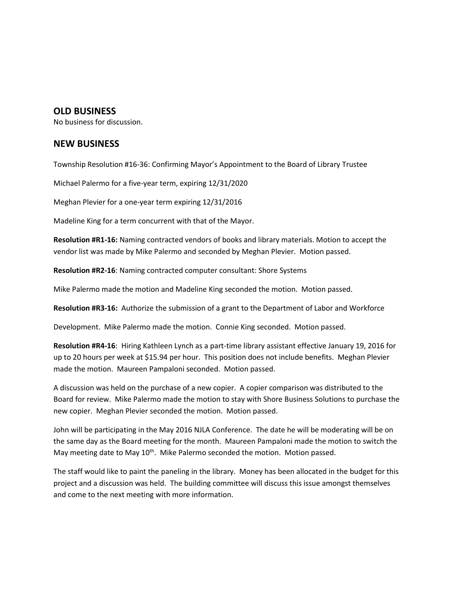#### **OLD BUSINESS**

No business for discussion.

### **NEW BUSINESS**

Township Resolution #16-36: Confirming Mayor's Appointment to the Board of Library Trustee

Michael Palermo for a five-year term, expiring 12/31/2020

Meghan Plevier for a one-year term expiring 12/31/2016

Madeline King for a term concurrent with that of the Mayor.

**Resolution #R1-16:** Naming contracted vendors of books and library materials. Motion to accept the vendor list was made by Mike Palermo and seconded by Meghan Plevier. Motion passed.

**Resolution #R2-16**: Naming contracted computer consultant: Shore Systems

Mike Palermo made the motion and Madeline King seconded the motion. Motion passed.

**Resolution #R3-16:** Authorize the submission of a grant to the Department of Labor and Workforce

Development. Mike Palermo made the motion. Connie King seconded. Motion passed.

**Resolution #R4-16**: Hiring Kathleen Lynch as a part-time library assistant effective January 19, 2016 for up to 20 hours per week at \$15.94 per hour. This position does not include benefits. Meghan Plevier made the motion. Maureen Pampaloni seconded. Motion passed.

A discussion was held on the purchase of a new copier. A copier comparison was distributed to the Board for review. Mike Palermo made the motion to stay with Shore Business Solutions to purchase the new copier. Meghan Plevier seconded the motion. Motion passed.

John will be participating in the May 2016 NJLA Conference. The date he will be moderating will be on the same day as the Board meeting for the month. Maureen Pampaloni made the motion to switch the May meeting date to May 10<sup>th</sup>. Mike Palermo seconded the motion. Motion passed.

The staff would like to paint the paneling in the library. Money has been allocated in the budget for this project and a discussion was held. The building committee will discuss this issue amongst themselves and come to the next meeting with more information.